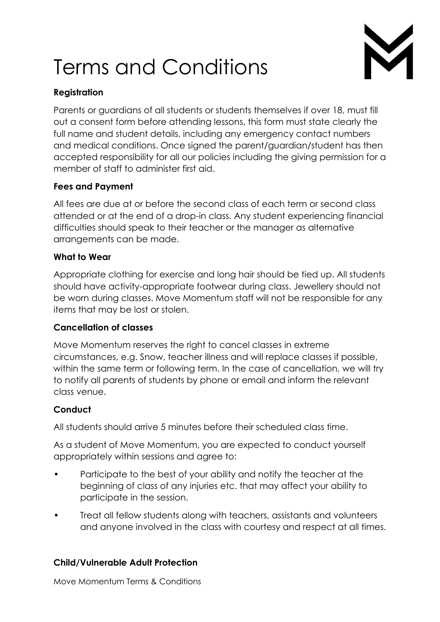# Terms and Conditions



# **Registration**

Parents or guardians of all students or students themselves if over 18, must fill out a consent form before attending lessons, this form must state clearly the full name and student details, including any emergency contact numbers and medical conditions. Once signed the parent/guardian/student has then accepted responsibility for all our policies including the giving permission for a member of staff to administer first aid.

# **Fees and Payment**

All fees are due at or before the second class of each term or second class attended or at the end of a drop-in class. Any student experiencing financial difficulties should speak to their teacher or the manager as alternative arrangements can be made.

#### **What to Wear**

Appropriate clothing for exercise and long hair should be tied up. All students should have activity-appropriate footwear during class. Jewellery should not be worn during classes. Move Momentum staff will not be responsible for any items that may be lost or stolen.

# **Cancellation of classes**

Move Momentum reserves the right to cancel classes in extreme circumstances, e.g. Snow, teacher illness and will replace classes if possible, within the same term or following term. In the case of cancellation, we will try to notify all parents of students by phone or email and inform the relevant class venue.

# **Conduct**

All students should arrive 5 minutes before their scheduled class time.

As a student of Move Momentum, you are expected to conduct yourself appropriately within sessions and agree to:

- Participate to the best of your ability and notify the teacher at the beginning of class of any injuries etc. that may affect your ability to participate in the session.
- Treat all fellow students along with teachers, assistants and volunteers and anyone involved in the class with courtesy and respect at all times.

# **Child/Vulnerable Adult Protection**

Move Momentum Terms & Conditions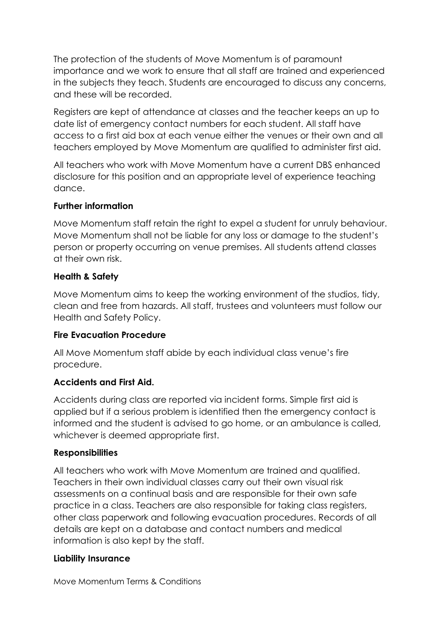The protection of the students of Move Momentum is of paramount importance and we work to ensure that all staff are trained and experienced in the subjects they teach. Students are encouraged to discuss any concerns, and these will be recorded.

Registers are kept of attendance at classes and the teacher keeps an up to date list of emergency contact numbers for each student. All staff have access to a first aid box at each venue either the venues or their own and all teachers employed by Move Momentum are qualified to administer first aid.

All teachers who work with Move Momentum have a current DBS enhanced disclosure for this position and an appropriate level of experience teaching dance.

#### **Further information**

Move Momentum staff retain the right to expel a student for unruly behaviour. Move Momentum shall not be liable for any loss or damage to the student's person or property occurring on venue premises. All students attend classes at their own risk.

# **Health & Safety**

Move Momentum aims to keep the working environment of the studios, tidy, clean and free from hazards. All staff, trustees and volunteers must follow our Health and Safety Policy.

#### **Fire Evacuation Procedure**

All Move Momentum staff abide by each individual class venue's fire procedure.

# **Accidents and First Aid.**

Accidents during class are reported via incident forms. Simple first aid is applied but if a serious problem is identified then the emergency contact is informed and the student is advised to go home, or an ambulance is called, whichever is deemed appropriate first.

#### **Responsibilities**

All teachers who work with Move Momentum are trained and qualified. Teachers in their own individual classes carry out their own visual risk assessments on a continual basis and are responsible for their own safe practice in a class. Teachers are also responsible for taking class registers, other class paperwork and following evacuation procedures. Records of all details are kept on a database and contact numbers and medical information is also kept by the staff.

#### **Liability Insurance**

Move Momentum Terms & Conditions